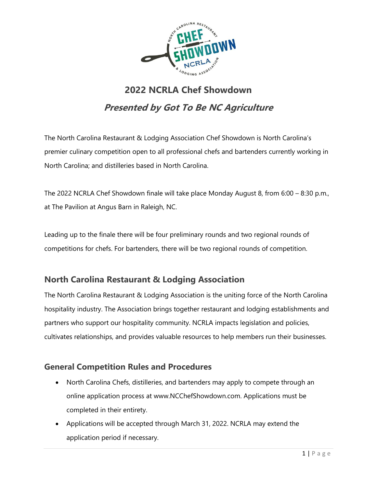

# **2022 NCRLA Chef Showdown Presented by Got To Be NC Agriculture**

The North Carolina Restaurant & Lodging Association Chef Showdown is North Carolina's premier culinary competition open to all professional chefs and bartenders currently working in North Carolina; and distilleries based in North Carolina.

The 2022 NCRLA Chef Showdown finale will take place Monday August 8, from 6:00 – 8:30 p.m., at The Pavilion at Angus Barn in Raleigh, NC.

Leading up to the finale there will be four preliminary rounds and two regional rounds of competitions for chefs. For bartenders, there will be two regional rounds of competition.

### **North Carolina Restaurant & Lodging Association**

The North Carolina Restaurant & Lodging Association is the uniting force of the North Carolina hospitality industry. The Association brings together restaurant and lodging establishments and partners who support our hospitality community. NCRLA impacts legislation and policies, cultivates relationships, and provides valuable resources to help members run their businesses.

#### **General Competition Rules and Procedures**

- North Carolina Chefs, distilleries, and bartenders may apply to compete through an online application process at www.NCChefShowdown.com. Applications must be completed in their entirety.
- Applications will be accepted through March 31, 2022. NCRLA may extend the application period if necessary.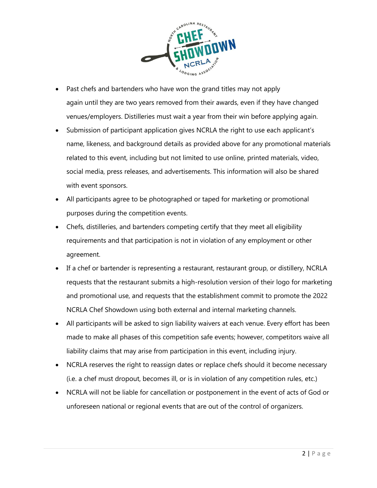

- Past chefs and bartenders who have won the grand titles may not apply again until they are two years removed from their awards, even if they have changed venues/employers. Distilleries must wait a year from their win before applying again.
- Submission of participant application gives NCRLA the right to use each applicant's name, likeness, and background details as provided above for any promotional materials related to this event, including but not limited to use online, printed materials, video, social media, press releases, and advertisements. This information will also be shared with event sponsors.
- All participants agree to be photographed or taped for marketing or promotional purposes during the competition events.
- Chefs, distilleries, and bartenders competing certify that they meet all eligibility requirements and that participation is not in violation of any employment or other agreement.
- If a chef or bartender is representing a restaurant, restaurant group, or distillery, NCRLA requests that the restaurant submits a high-resolution version of their logo for marketing and promotional use, and requests that the establishment commit to promote the 2022 NCRLA Chef Showdown using both external and internal marketing channels.
- All participants will be asked to sign liability waivers at each venue. Every effort has been made to make all phases of this competition safe events; however, competitors waive all liability claims that may arise from participation in this event, including injury.
- NCRLA reserves the right to reassign dates or replace chefs should it become necessary (i.e. a chef must dropout, becomes ill, or is in violation of any competition rules, etc.)
- NCRLA will not be liable for cancellation or postponement in the event of acts of God or unforeseen national or regional events that are out of the control of organizers.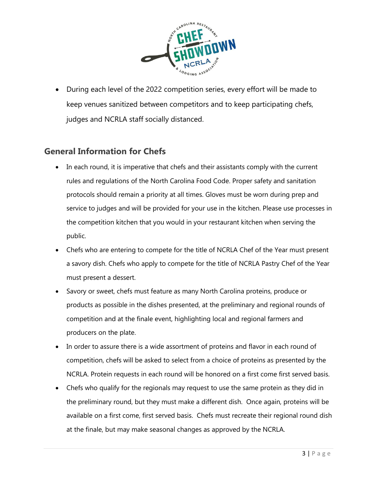

• During each level of the 2022 competition series, every effort will be made to keep venues sanitized between competitors and to keep participating chefs, judges and NCRLA staff socially distanced.

#### **General Information for Chefs**

- In each round, it is imperative that chefs and their assistants comply with the current rules and regulations of the North Carolina Food Code. Proper safety and sanitation protocols should remain a priority at all times. Gloves must be worn during prep and service to judges and will be provided for your use in the kitchen. Please use processes in the competition kitchen that you would in your restaurant kitchen when serving the public.
- Chefs who are entering to compete for the title of NCRLA Chef of the Year must present a savory dish. Chefs who apply to compete for the title of NCRLA Pastry Chef of the Year must present a dessert.
- Savory or sweet, chefs must feature as many North Carolina proteins, produce or products as possible in the dishes presented, at the preliminary and regional rounds of competition and at the finale event, highlighting local and regional farmers and producers on the plate.
- In order to assure there is a wide assortment of proteins and flavor in each round of competition, chefs will be asked to select from a choice of proteins as presented by the NCRLA. Protein requests in each round will be honored on a first come first served basis.
- Chefs who qualify for the regionals may request to use the same protein as they did in the preliminary round, but they must make a different dish. Once again, proteins will be available on a first come, first served basis. Chefs must recreate their regional round dish at the finale, but may make seasonal changes as approved by the NCRLA.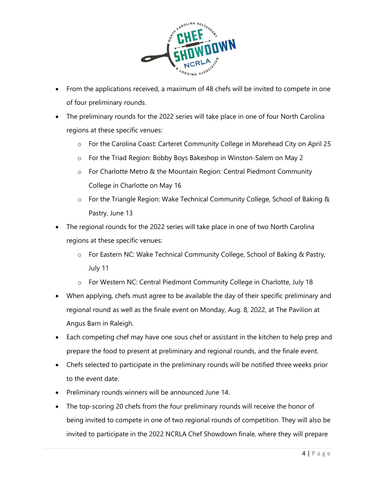

- From the applications received, a maximum of 48 chefs will be invited to compete in one of four preliminary rounds.
- The preliminary rounds for the 2022 series will take place in one of four North Carolina regions at these specific venues:
	- o For the Carolina Coast: Carteret Community College in Morehead City on April 25
	- o For the Triad Region: Bobby Boys Bakeshop in Winston-Salem on May 2
	- o For Charlotte Metro & the Mountain Region: Central Piedmont Community College in Charlotte on May 16
	- o For the Triangle Region: Wake Technical Community College, School of Baking & Pastry, June 13
- The regional rounds for the 2022 series will take place in one of two North Carolina regions at these specific venues:
	- o For Eastern NC: Wake Technical Community College, School of Baking & Pastry, July 11
	- o For Western NC: Central Piedmont Community College in Charlotte, July 18
- When applying, chefs must agree to be available the day of their specific preliminary and regional round as well as the finale event on Monday, Aug. 8, 2022, at The Pavilion at Angus Barn in Raleigh.
- Each competing chef may have one sous chef or assistant in the kitchen to help prep and prepare the food to present at preliminary and regional rounds, and the finale event.
- Chefs selected to participate in the preliminary rounds will be notified three weeks prior to the event date.
- Preliminary rounds winners will be announced June 14.
- The top-scoring 20 chefs from the four preliminary rounds will receive the honor of being invited to compete in one of two regional rounds of competition. They will also be invited to participate in the 2022 NCRLA Chef Showdown finale, where they will prepare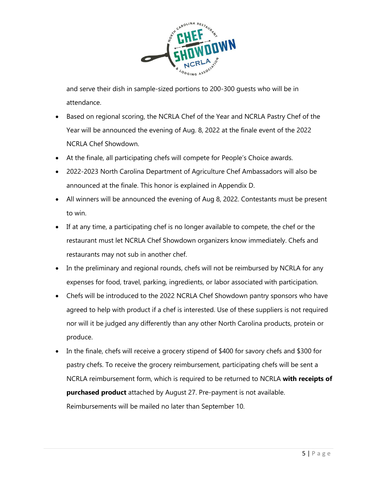

and serve their dish in sample-sized portions to 200-300 guests who will be in attendance.

- Based on regional scoring, the NCRLA Chef of the Year and NCRLA Pastry Chef of the Year will be announced the evening of Aug. 8, 2022 at the finale event of the 2022 NCRLA Chef Showdown.
- At the finale, all participating chefs will compete for People's Choice awards.
- 2022-2023 North Carolina Department of Agriculture Chef Ambassadors will also be announced at the finale. This honor is explained in Appendix D.
- All winners will be announced the evening of Aug 8, 2022. Contestants must be present to win.
- If at any time, a participating chef is no longer available to compete, the chef or the restaurant must let NCRLA Chef Showdown organizers know immediately. Chefs and restaurants may not sub in another chef.
- In the preliminary and regional rounds, chefs will not be reimbursed by NCRLA for any expenses for food, travel, parking, ingredients, or labor associated with participation.
- Chefs will be introduced to the 2022 NCRLA Chef Showdown pantry sponsors who have agreed to help with product if a chef is interested. Use of these suppliers is not required nor will it be judged any differently than any other North Carolina products, protein or produce.
- In the finale, chefs will receive a grocery stipend of \$400 for savory chefs and \$300 for pastry chefs. To receive the grocery reimbursement, participating chefs will be sent a NCRLA reimbursement form, which is required to be returned to NCRLA **with receipts of purchased product** attached by August 27. Pre-payment is not available. Reimbursements will be mailed no later than September 10.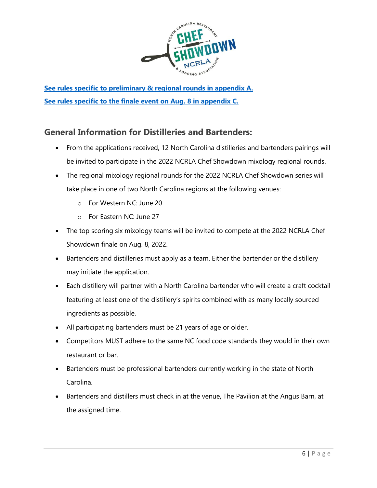

**[See rules specific to preliminary & regional rounds in appendix A.](#page-9-0) [See rules specific to the finale event on Aug. 8 in appendix C.](#page-12-0)**

### **General Information for Distilleries and Bartenders:**

- From the applications received, 12 North Carolina distilleries and bartenders pairings will be invited to participate in the 2022 NCRLA Chef Showdown mixology regional rounds.
- The regional mixology regional rounds for the 2022 NCRLA Chef Showdown series will take place in one of two North Carolina regions at the following venues:
	- o For Western NC: June 20
	- o For Eastern NC: June 27
- The top scoring six mixology teams will be invited to compete at the 2022 NCRLA Chef Showdown finale on Aug. 8, 2022.
- Bartenders and distilleries must apply as a team. Either the bartender or the distillery may initiate the application.
- Each distillery will partner with a North Carolina bartender who will create a craft cocktail featuring at least one of the distillery's spirits combined with as many locally sourced ingredients as possible.
- All participating bartenders must be 21 years of age or older.
- Competitors MUST adhere to the same NC food code standards they would in their own restaurant or bar.
- Bartenders must be professional bartenders currently working in the state of North Carolina.
- Bartenders and distillers must check in at the venue, The Pavilion at the Angus Barn, at the assigned time.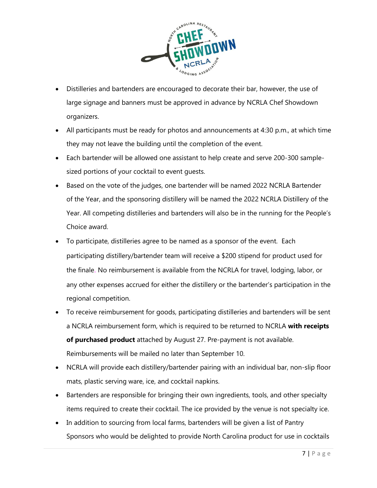

- Distilleries and bartenders are encouraged to decorate their bar, however, the use of large signage and banners must be approved in advance by NCRLA Chef Showdown organizers.
- All participants must be ready for photos and announcements at 4:30 p.m., at which time they may not leave the building until the completion of the event.
- Each bartender will be allowed one assistant to help create and serve 200-300 samplesized portions of your cocktail to event guests.
- Based on the vote of the judges, one bartender will be named 2022 NCRLA Bartender of the Year, and the sponsoring distillery will be named the 2022 NCRLA Distillery of the Year. All competing distilleries and bartenders will also be in the running for the People's Choice award.
- To participate, distilleries agree to be named as a sponsor of the event. Each participating distillery/bartender team will receive a \$200 stipend for product used for the finale. No reimbursement is available from the NCRLA for travel, lodging, labor, or any other expenses accrued for either the distillery or the bartender's participation in the regional competition.
- To receive reimbursement for goods, participating distilleries and bartenders will be sent a NCRLA reimbursement form, which is required to be returned to NCRLA **with receipts of purchased product** attached by August 27. Pre-payment is not available. Reimbursements will be mailed no later than September 10.
- NCRLA will provide each distillery/bartender pairing with an individual bar, non-slip floor mats, plastic serving ware, ice, and cocktail napkins.
- Bartenders are responsible for bringing their own ingredients, tools, and other specialty items required to create their cocktail. The ice provided by the venue is not specialty ice.
- In addition to sourcing from local farms, bartenders will be given a list of Pantry Sponsors who would be delighted to provide North Carolina product for use in cocktails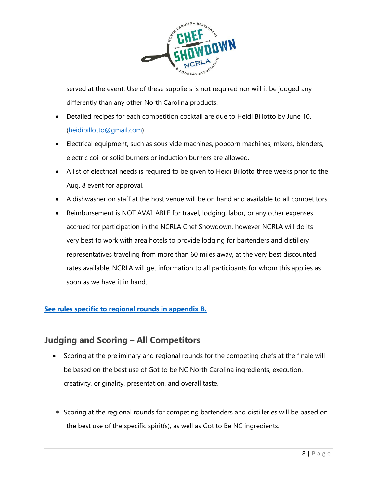

served at the event. Use of these suppliers is not required nor will it be judged any differently than any other North Carolina products.

- Detailed recipes for each competition cocktail are due to Heidi Billotto by June 10. [\(heidibillotto@gmail.com\)](mailto:heidibillotto@gmail.com).
- Electrical equipment, such as sous vide machines, popcorn machines, mixers, blenders, electric coil or solid burners or induction burners are allowed.
- A list of electrical needs is required to be given to Heidi Billotto three weeks prior to the Aug. 8 event for approval.
- A dishwasher on staff at the host venue will be on hand and available to all competitors.
- Reimbursement is NOT AVAILABLE for travel, lodging, labor, or any other expenses accrued for participation in the NCRLA Chef Showdown, however NCRLA will do its very best to work with area hotels to provide lodging for bartenders and distillery representatives traveling from more than 60 miles away, at the very best discounted rates available. NCRLA will get information to all participants for whom this applies as soon as we have it in hand.

#### **[See rules specific to regional](#page-10-0) rounds in appendix B.**

#### **Judging and Scoring – All Competitors**

- Scoring at the preliminary and regional rounds for the competing chefs at the finale will be based on the best use of Got to be NC North Carolina ingredients, execution, creativity, originality, presentation, and overall taste.
- Scoring at the regional rounds for competing bartenders and distilleries will be based on the best use of the specific spirit(s), as well as Got to Be NC ingredients.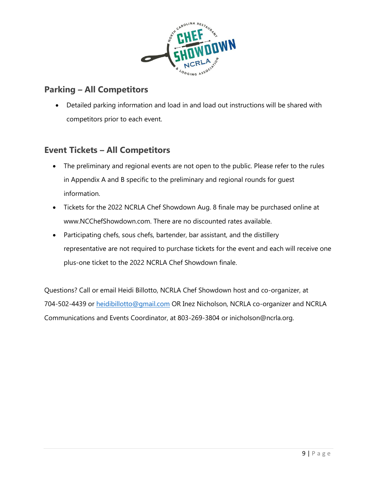

### **Parking – All Competitors**

• Detailed parking information and load in and load out instructions will be shared with competitors prior to each event.

#### **Event Tickets – All Competitors**

- The preliminary and regional events are not open to the public. Please refer to the rules in Appendix A and B specific to the preliminary and regional rounds for guest information.
- Tickets for the 2022 NCRLA Chef Showdown Aug. 8 finale may be purchased online at www.NCChefShowdown.com. There are no discounted rates available.
- Participating chefs, sous chefs, bartender, bar assistant, and the distillery representative are not required to purchase tickets for the event and each will receive one plus-one ticket to the 2022 NCRLA Chef Showdown finale.

Questions? Call or email Heidi Billotto, NCRLA Chef Showdown host and co-organizer, at 704-502-4439 or [heidibillotto@gmail.com](mailto:heidibillotto@gmail.com) OR Inez Nicholson, NCRLA co-organizer and NCRLA Communications and Events Coordinator, at 803-269-3804 or inicholson@ncrla.org.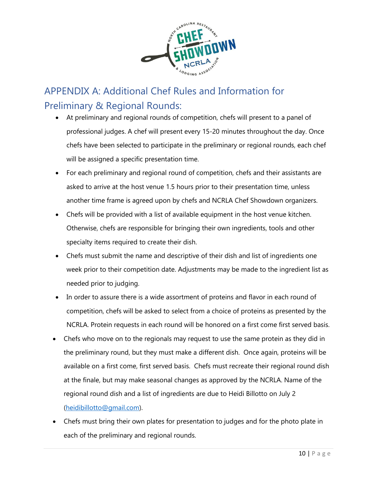

## <span id="page-9-0"></span>APPENDIX A: Additional Chef Rules and Information for Preliminary & Regional Rounds:

- At preliminary and regional rounds of competition, chefs will present to a panel of professional judges. A chef will present every 15-20 minutes throughout the day. Once chefs have been selected to participate in the preliminary or regional rounds, each chef will be assigned a specific presentation time.
- For each preliminary and regional round of competition, chefs and their assistants are asked to arrive at the host venue 1.5 hours prior to their presentation time, unless another time frame is agreed upon by chefs and NCRLA Chef Showdown organizers.
- Chefs will be provided with a list of available equipment in the host venue kitchen. Otherwise, chefs are responsible for bringing their own ingredients, tools and other specialty items required to create their dish.
- Chefs must submit the name and descriptive of their dish and list of ingredients one week prior to their competition date. Adjustments may be made to the ingredient list as needed prior to judging.
- In order to assure there is a wide assortment of proteins and flavor in each round of competition, chefs will be asked to select from a choice of proteins as presented by the NCRLA. Protein requests in each round will be honored on a first come first served basis.
- Chefs who move on to the regionals may request to use the same protein as they did in the preliminary round, but they must make a different dish. Once again, proteins will be available on a first come, first served basis. Chefs must recreate their regional round dish at the finale, but may make seasonal changes as approved by the NCRLA. Name of the regional round dish and a list of ingredients are due to Heidi Billotto on July 2 [\(heidibillotto@gmail.com\)](mailto::heidibillotto@gmail.com).
- Chefs must bring their own plates for presentation to judges and for the photo plate in each of the preliminary and regional rounds.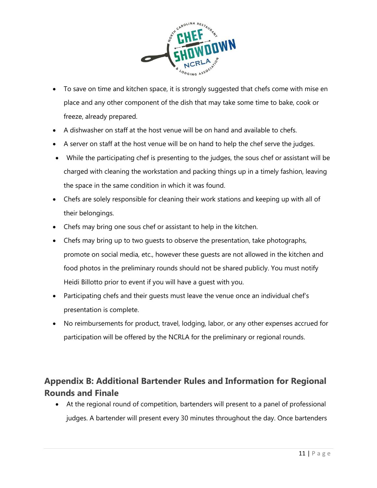

- To save on time and kitchen space, it is strongly suggested that chefs come with mise en place and any other component of the dish that may take some time to bake, cook or freeze, already prepared.
- A dishwasher on staff at the host venue will be on hand and available to chefs.
- A server on staff at the host venue will be on hand to help the chef serve the judges.
- While the participating chef is presenting to the judges, the sous chef or assistant will be charged with cleaning the workstation and packing things up in a timely fashion, leaving the space in the same condition in which it was found.
- Chefs are solely responsible for cleaning their work stations and keeping up with all of their belongings.
- Chefs may bring one sous chef or assistant to help in the kitchen.
- Chefs may bring up to two guests to observe the presentation, take photographs, promote on social media, etc., however these guests are not allowed in the kitchen and food photos in the preliminary rounds should not be shared publicly. You must notify Heidi Billotto prior to event if you will have a guest with you.
- Participating chefs and their guests must leave the venue once an individual chef's presentation is complete.
- No reimbursements for product, travel, lodging, labor, or any other expenses accrued for participation will be offered by the NCRLA for the preliminary or regional rounds.

### <span id="page-10-0"></span>**Appendix B: Additional Bartender Rules and Information for Regional Rounds and Finale**

• At the regional round of competition, bartenders will present to a panel of professional judges. A bartender will present every 30 minutes throughout the day. Once bartenders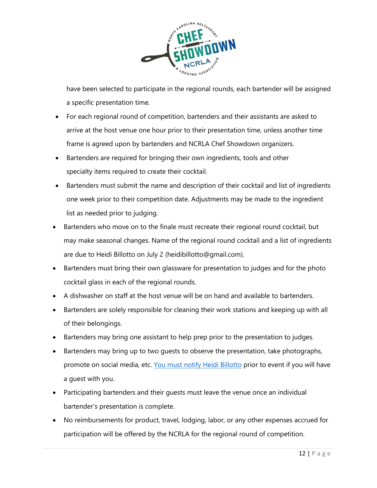

have been selected to participate in the regional rounds, each bartender will be assigned a specific presentation time.

- For each regional round of competition, bartenders and their assistants are asked to arrive at the host venue one hour prior to their presentation time, unless another time frame is agreed upon by bartenders and NCRLA Chef Showdown organizers.
- Bartenders are required for bringing their own ingredients, tools and other specialty items required to create their cocktail.
- Bartenders must submit the name and description of their cocktail and list of ingredients one week prior to their competition date. Adjustments may be made to the ingredient list as needed prior to judging.
- Bartenders who move on to the finale must recreate their regional round cocktail, but may make seasonal changes. Name of the regional round cocktail and a list of ingredients are due to Heidi Billotto on July 2 (heidibillotto@gmail.com).
- Bartenders must bring their own glassware for presentation to judges and for the photo cocktail glass in each of the regional rounds.
- A dishwasher on staff at the host venue will be on hand and available to bartenders.
- Bartenders are solely responsible for cleaning their work stations and keeping up with all of their belongings.
- Bartenders may bring one assistant to help prep prior to the presentation to judges.
- Bartenders may bring up to two guests to observe the presentation, take photographs, promote on social media, etc. [You must notify Heidi Billotto](mailto:heidibillotto@gmail.com) prior to event if you will have a guest with you.
- Participating bartenders and their guests must leave the venue once an individual bartender's presentation is complete.
- No reimbursements for product, travel, lodging, labor, or any other expenses accrued for participation will be offered by the NCRLA for the regional round of competition.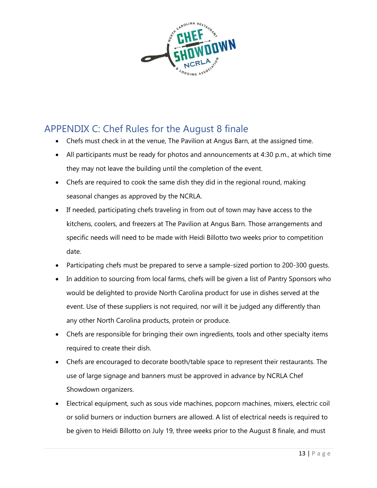

## <span id="page-12-0"></span>APPENDIX C: Chef Rules for the August 8 finale

- Chefs must check in at the venue, The Pavilion at Angus Barn, at the assigned time.
- All participants must be ready for photos and announcements at 4:30 p.m., at which time they may not leave the building until the completion of the event.
- Chefs are required to cook the same dish they did in the regional round, making seasonal changes as approved by the NCRLA.
- If needed, participating chefs traveling in from out of town may have access to the kitchens, coolers, and freezers at The Pavilion at Angus Barn. Those arrangements and specific needs will need to be made with Heidi Billotto two weeks prior to competition date.
- Participating chefs must be prepared to serve a sample-sized portion to 200-300 guests.
- In addition to sourcing from local farms, chefs will be given a list of Pantry Sponsors who would be delighted to provide North Carolina product for use in dishes served at the event. Use of these suppliers is not required, nor will it be judged any differently than any other North Carolina products, protein or produce.
- Chefs are responsible for bringing their own ingredients, tools and other specialty items required to create their dish.
- Chefs are encouraged to decorate booth/table space to represent their restaurants. The use of large signage and banners must be approved in advance by NCRLA Chef Showdown organizers.
- Electrical equipment, such as sous vide machines, popcorn machines, mixers, electric coil or solid burners or induction burners are allowed. A list of electrical needs is required to be given to Heidi Billotto on July 19, three weeks prior to the August 8 finale, and must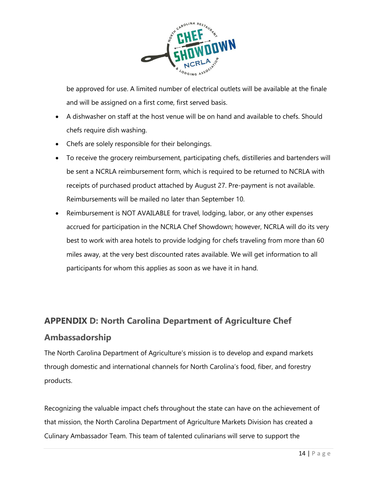

be approved for use. A limited number of electrical outlets will be available at the finale and will be assigned on a first come, first served basis.

- A dishwasher on staff at the host venue will be on hand and available to chefs. Should chefs require dish washing.
- Chefs are solely responsible for their belongings.
- To receive the grocery reimbursement, participating chefs, distilleries and bartenders will be sent a NCRLA reimbursement form, which is required to be returned to NCRLA with receipts of purchased product attached by August 27. Pre-payment is not available. Reimbursements will be mailed no later than September 10.
- Reimbursement is NOT AVAILABLE for travel, lodging, labor, or any other expenses accrued for participation in the NCRLA Chef Showdown; however, NCRLA will do its very best to work with area hotels to provide lodging for chefs traveling from more than 60 miles away, at the very best discounted rates available. We will get information to all participants for whom this applies as soon as we have it in hand.

## **APPENDIX D: North Carolina Department of Agriculture Chef Ambassadorship**

The North Carolina Department of Agriculture's mission is to develop and expand markets through domestic and international channels for North Carolina's food, fiber, and forestry products.

Recognizing the valuable impact chefs throughout the state can have on the achievement of that mission, the North Carolina Department of Agriculture Markets Division has created a Culinary Ambassador Team. This team of talented culinarians will serve to support the